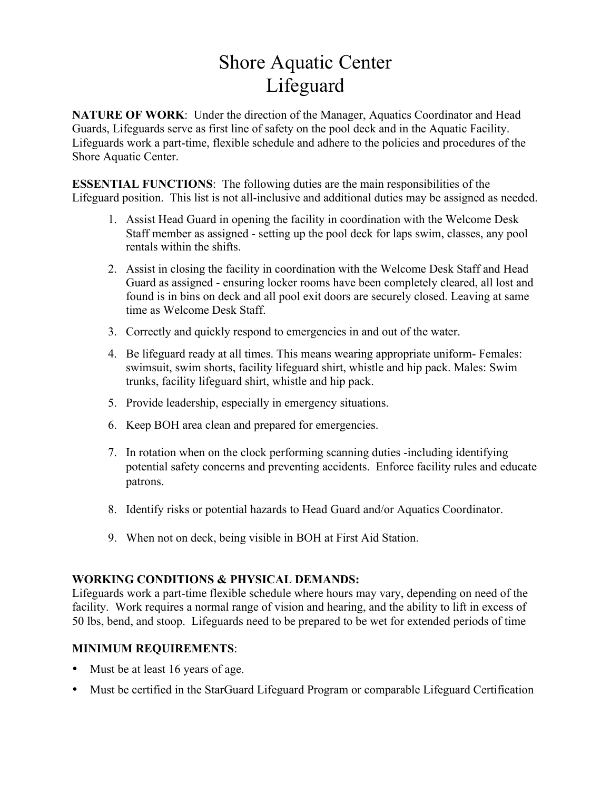# Shore Aquatic Center Lifeguard

**NATURE OF WORK:** Under the direction of the Manager, Aquatics Coordinator and Head Guards, Lifeguards serve as first line of safety on the pool deck and in the Aquatic Facility. Lifeguards work a part-time, flexible schedule and adhere to the policies and procedures of the Shore Aquatic Center.

**ESSENTIAL FUNCTIONS**: The following duties are the main responsibilities of the Lifeguard position. This list is not all-inclusive and additional duties may be assigned as needed.

- 1. Assist Head Guard in opening the facility in coordination with the Welcome Desk Staff member as assigned - setting up the pool deck for laps swim, classes, any pool rentals within the shifts.
- 2. Assist in closing the facility in coordination with the Welcome Desk Staff and Head Guard as assigned - ensuring locker rooms have been completely cleared, all lost and found is in bins on deck and all pool exit doors are securely closed. Leaving at same time as Welcome Desk Staff.
- 3. Correctly and quickly respond to emergencies in and out of the water.
- 4. Be lifeguard ready at all times. This means wearing appropriate uniform- Females: swimsuit, swim shorts, facility lifeguard shirt, whistle and hip pack. Males: Swim trunks, facility lifeguard shirt, whistle and hip pack.
- 5. Provide leadership, especially in emergency situations.
- 6. Keep BOH area clean and prepared for emergencies.
- 7. In rotation when on the clock performing scanning duties -including identifying potential safety concerns and preventing accidents. Enforce facility rules and educate patrons.
- 8. Identify risks or potential hazards to Head Guard and/or Aquatics Coordinator.
- 9. When not on deck, being visible in BOH at First Aid Station.

#### **WORKING CONDITIONS & PHYSICAL DEMANDS:**

Lifeguards work a part-time flexible schedule where hours may vary, depending on need of the facility. Work requires a normal range of vision and hearing, and the ability to lift in excess of 50 lbs, bend, and stoop. Lifeguards need to be prepared to be wet for extended periods of time

### **MINIMUM REQUIREMENTS**:

- Must be at least 16 years of age.
- Must be certified in the StarGuard Lifeguard Program or comparable Lifeguard Certification